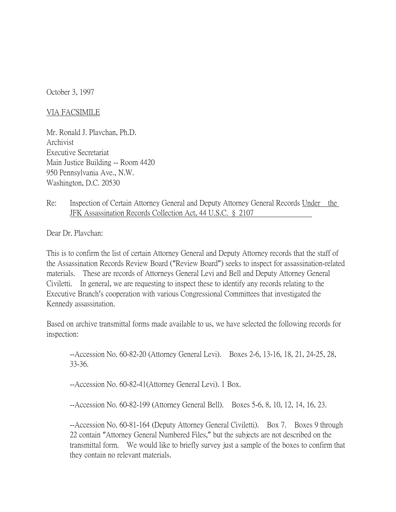October 3, 1997

## VIA FACSIMILE

Mr. Ronald J. Plavchan, Ph.D. Archivist Executive Secretariat Main Justice Building -- Room 4420 950 Pennsylvania Ave., N.W. Washington, D.C. 20530

Re: Inspection of Certain Attorney General and Deputy Attorney General Records Under the JFK Assassination Records Collection Act, 44 U.S.C. § 2107

Dear Dr. Plavchan:

This is to confirm the list of certain Attorney General and Deputy Attorney records that the staff of the Assassination Records Review Board ("Review Board") seeks to inspect for assassination-related materials. These are records of Attorneys General Levi and Bell and Deputy Attorney General Civiletti. In general, we are requesting to inspect these to identify any records relating to the Executive Branch's cooperation with various Congressional Committees that investigated the Kennedy assassination.

Based on archive transmittal forms made available to us, we have selected the following records for inspection:

--Accession No. 60-82-20 (Attorney General Levi). Boxes 2-6, 13-16, 18, 21, 24-25, 28, 33-36.

--Accession No. 60-82-41(Attorney General Levi). 1 Box.

--Accession No. 60-82-199 (Attorney General Bell). Boxes 5-6, 8, 10, 12, 14, 16, 23.

--Accession No. 60-81-164 (Deputy Attorney General Civiletti). Box 7. Boxes 9 through 22 contain "Attorney General Numbered Files," but the subjects are not described on the transmittal form. We would like to briefly survey just a sample of the boxes to confirm that they contain no relevant materials.